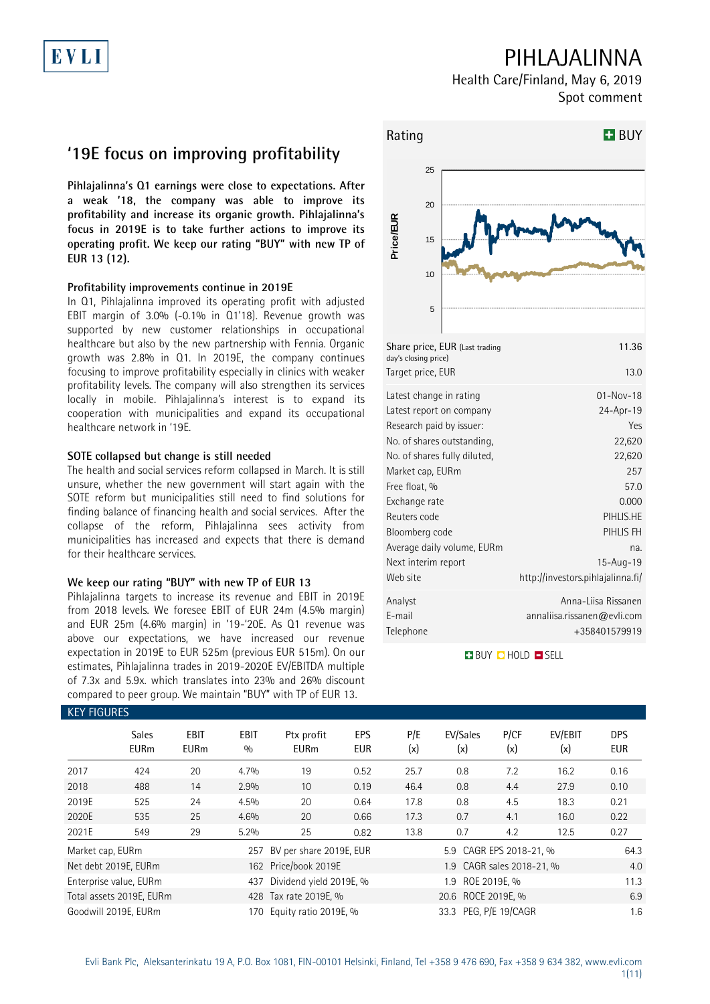## PIHLAJALINNA

Health Care/Finland, May 6, 2019 Spot comment

## **'19E focus on improving profitability**

**Pihlajalinna's Q1 earnings were close to expectations. After a weak '18, the company was able to improve its profitability and increase its organic growth. Pihlajalinna's focus in 2019E is to take further actions to improve its operating profit. We keep our rating "BUY" with new TP of EUR 13 (12).**

### **Profitability improvements continue in 2019E**

In Q1, Pihlajalinna improved its operating profit with adjusted EBIT margin of 3.0% (-0.1% in Q1'18). Revenue growth was supported by new customer relationships in occupational healthcare but also by the new partnership with Fennia. Organic growth was 2.8% in Q1. In 2019E, the company continues focusing to improve profitability especially in clinics with weaker profitability levels. The company will also strengthen its services locally in mobile. Pihlajalinna's interest is to expand its cooperation with municipalities and expand its occupational healthcare network in '19E.

#### **SOTE collapsed but change is still needed**

The health and social services reform collapsed in March. It is still unsure, whether the new government will start again with the SOTE reform but municipalities still need to find solutions for finding balance of financing health and social services. After the collapse of the reform, Pihlajalinna sees activity from municipalities has increased and expects that there is demand for their healthcare services.

#### **We keep our rating "BUY" with new TP of EUR 13**

Pihlajalinna targets to increase its revenue and EBIT in 2019E from 2018 levels. We foresee EBIT of EUR 24m (4.5% margin) and EUR 25m (4.6% margin) in '19-'20E. As Q1 revenue was above our expectations, we have increased our revenue expectation in 2019E to EUR 525m (previous EUR 515m). On our estimates, Pihlajalinna trades in 2019-2020E EV/EBITDA multiple of 7.3x and 5.9x. which translates into 23% and 26% discount compared to peer group. We maintain "BUY" with TP of EUR 13.



**BUY DHOLD SELL** 

| <b>KEY FIGURES</b>                                                            |                             |                     |                    |                           |                   |            |                           |                           |                |                          |  |
|-------------------------------------------------------------------------------|-----------------------------|---------------------|--------------------|---------------------------|-------------------|------------|---------------------------|---------------------------|----------------|--------------------------|--|
|                                                                               | <b>Sales</b><br><b>EURm</b> | EBIT<br><b>EURm</b> | <b>EBIT</b><br>0/0 | Ptx profit<br><b>EURm</b> | EPS<br><b>EUR</b> | P/E<br>(x) | EV/Sales<br>(x)           | P/CF<br>(x)               | EV/EBIT<br>(x) | <b>DPS</b><br><b>EUR</b> |  |
| 2017                                                                          | 424                         | 20                  | 4.7%               | 19                        | 0.52              | 25.7       | 0.8                       | 7.2                       | 16.2           | 0.16                     |  |
| 2018                                                                          | 488                         | 14                  | 2.9%               | 10 <sup>2</sup>           | 0.19              | 46.4       | 0.8                       | 4.4                       | 27.9           | 0.10                     |  |
| 2019E                                                                         | 525                         | 24                  | 4.5%               | 20                        | 0.64              | 17.8       | 0.8                       | 4.5                       | 18.3           | 0.21                     |  |
| 2020E                                                                         | 535                         | 25                  | 4.6%               | 20                        | 0.66              | 17.3       | 0.7                       | 4.1                       | 16.0           | 0.22                     |  |
| 2021E                                                                         | 549                         | 29                  | 5.2%               | 25                        | 0.82              | 13.8       | 0.7                       | 4.2                       | 12.5           | 0.27                     |  |
| Market cap, EURm                                                              |                             |                     | 257                | BV per share 2019E, EUR   |                   |            | 5.9 CAGR EPS 2018-21, %   |                           |                | 64.3                     |  |
|                                                                               | Net debt 2019E, EURm        |                     |                    | 162 Price/book 2019E      |                   |            | 1.9 CAGR sales 2018-21, % |                           |                |                          |  |
| Enterprise value, EURm<br>437                                                 |                             |                     |                    | Dividend yield 2019E, %   |                   |            | ROE 2019E, %<br>1.9       |                           |                |                          |  |
| Total assets 2019E, EURm                                                      |                             |                     |                    | 428 Tax rate 2019E, %     |                   |            |                           | 20.6 ROCE 2019E, %<br>6.9 |                |                          |  |
| 33.3 PEG, P/E 19/CAGR<br>Goodwill 2019E, EURm<br>Equity ratio 2019E, %<br>170 |                             |                     |                    |                           |                   | 1.6        |                           |                           |                |                          |  |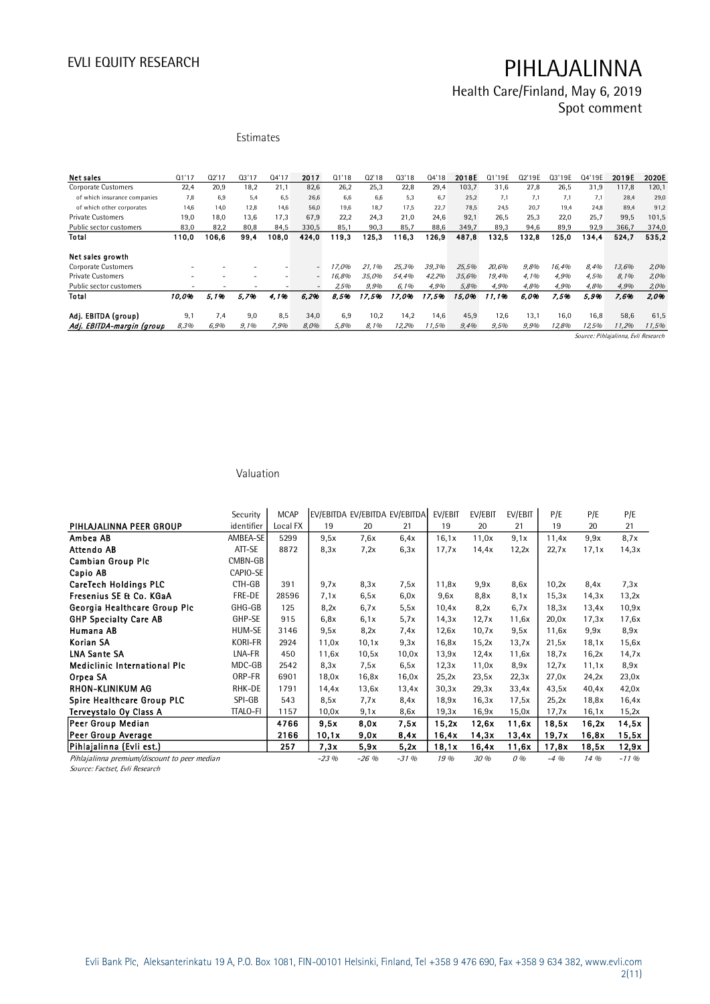Health Care/Finland, May 6, 2019 Spot comment

### Estimates

| <b>Net sales</b>                                       | 01'17 | 02'17 | 03'17                    | 04'17 | 2017                                                 | 01'18 | 02'18 | 03'18        | 04'18 | 2018E | Q1'19E | Q2'19E       | Q3'19E | Q4'19E | 2019E                               | 2020E        |
|--------------------------------------------------------|-------|-------|--------------------------|-------|------------------------------------------------------|-------|-------|--------------|-------|-------|--------|--------------|--------|--------|-------------------------------------|--------------|
| <b>Corporate Customers</b>                             | 22,4  | 20.9  | 18,2                     | 21.1  | 82,6                                                 | 26,2  | 25.3  | 22,8         | 29,4  | 103,7 | 31,6   | 27,8         | 26,5   | 31.9   | 117,8                               | 120,1        |
| of which insurance companies                           | 7.8   | 6.9   | 5.4                      | 6.5   | 26.6                                                 | 6.6   | 6.6   | 5.3          | 6.7   | 25,2  | 7.1    | 7.1          | 7,1    | 7,1    | 28.4                                | 29,0         |
| of which other corporates                              | 14.6  | 14.0  | 12.8                     | 14.6  | 56.0                                                 | 19.6  | 18.7  | 17.5         | 22.7  | 78.5  | 24.5   | 20.7         | 19.4   | 24.8   | 89.4                                | 91,2         |
| <b>Private Customers</b>                               | 19,0  | 18.0  | 13.6                     | 17,3  | 67,9                                                 | 22.2  | 24,3  | 21,0         | 24,6  | 92,1  | 26,5   | 25,3         | 22,0   | 25,7   | 99,5                                | 101,5        |
| Public sector customers                                | 83,0  | 82,2  | 80.8                     | 84,5  | 330,5                                                | 85.1  | 90,3  | 85,7         | 88,6  | 349.7 | 89,3   | 94,6         | 89,9   | 92,9   | 366,7                               | 374,0        |
| Total                                                  | 110,0 | 106,6 | 99.4                     | 108.0 | 424,0                                                | 119,3 | 125.3 | 116,3        | 126.9 | 487.8 | 132,5  | 132.8        | 125.0  | 134,4  | 524.7                               | 535,2        |
| Net sales growth                                       |       |       |                          |       |                                                      | 17.0% | 21.1% | 25.3%        | 39,3% | 25,5% | 20.6%  |              | 16.4%  | 8.4%   |                                     |              |
| <b>Corporate Customers</b><br><b>Private Customers</b> |       |       | $\overline{\phantom{a}}$ | ۰     | $\overline{\phantom{a}}$<br>$\overline{\phantom{a}}$ | 16.8% | 35.0% | 54.4%        | 42,2% | 35.6% | 19.4%  | 9,8%<br>4.1% | 4.9%   | 4.5%   | 13,6%<br>8.1%                       | 2,0%<br>2,0% |
| Public sector customers                                |       |       |                          |       | $\overline{\phantom{0}}$                             | 2,5%  | 9,9%  | 6.1%         | 4,9%  | 5,8%  | 4,9%   | 4,8%         | 4,9%   | 4,8%   | 4,9%                                | 2,0%         |
| Total                                                  | 10.0% | 5.1%  | 5.7%                     | 4.1%  | 6.2%                                                 | 8.5%  | 17.5% | 17.0%        | 17.5% | 15.0% | 11.1%  | 6.0%         | 7.5%   | 5.9%   | 7.6%                                | 2.0%         |
| Adj. EBITDA (group)                                    | 9.1   | 7.4   | 9.0                      | 8.5   | 34.0                                                 | 6.9   | 10.2  | 14.2         | 14.6  | 45,9  | 12,6   | 13.1         | 16,0   | 16.8   | 58,6                                | 61,5         |
| Adj. EBITDA-margin (group                              | 8,3%  | 6,9%  | 9,1%                     | 7,9%  | 8,0%                                                 | 5,8%  | 8,1%  | <i>12,2%</i> | 11,5% | 9,4%  | 9,5%   | 9,9%         | 12,8%  | 12,5%  | 11,2%                               | 11,5%        |
|                                                        |       |       |                          |       |                                                      |       |       |              |       |       |        |              |        |        | Source: Pihlajalinna, Evli Research |              |

#### Valuation

|                                              | Security        | <b>MCAP</b> | EV/EBITDA EV/EBITDA EV/EBITDA |         |        | EV/EBIT | EV/EBIT | EV/EBIT | P/E    | P/E   | P/E      |
|----------------------------------------------|-----------------|-------------|-------------------------------|---------|--------|---------|---------|---------|--------|-------|----------|
| PIHLAJALINNA PEER GROUP                      | identifier      | Local FX    | 19                            | 20      | 21     | 19      | 20      | 21      | 19     | 20    | 21       |
| Ambea AB                                     | AMBEA-SE        | 5299        | 9.5x                          | 7.6x    | 6.4x   | 16.1x   | 11,0x   | 9.1x    | 11,4x  | 9,9x  | 8,7x     |
| Attendo AB                                   | ATT-SE          | 8872        | 8,3x                          | 7,2x    | 6,3x   | 17,7x   | 14,4x   | 12,2x   | 22.7x  | 17.1x | 14,3x    |
| <b>Cambian Group Plc</b>                     | CMBN-GB         |             |                               |         |        |         |         |         |        |       |          |
| Capio AB                                     | CAPIO-SE        |             |                               |         |        |         |         |         |        |       |          |
| <b>CareTech Holdings PLC</b>                 | CTH-GB          | 391         | 9.7x                          | 8,3x    | 7.5x   | 11,8x   | 9,9x    | 8.6x    | 10,2x  | 8.4x  | 7,3x     |
| Fresenius SE & Co. KGaA                      | FRE-DE          | 28596       | 7.1x                          | 6,5x    | 6.0x   | 9.6x    | 8.8x    | 8,1x    | 15,3x  | 14.3x | 13,2x    |
| Georgia Healthcare Group Plc                 | GHG-GB          | 125         | 8,2x                          | 6.7x    | 5.5x   | 10,4x   | 8,2x    | 6.7x    | 18,3x  | 13.4x | 10,9x    |
| <b>GHP Specialty Care AB</b>                 | GHP-SE          | 915         | 6.8x                          | 6.1x    | 5.7x   | 14.3x   | 12.7x   | 11,6x   | 20,0x  | 17,3x | 17,6x    |
| Humana AB                                    | HUM-SE          | 3146        | 9.5x                          | 8,2x    | 7.4x   | 12,6x   | 10,7x   | 9,5x    | 11,6x  | 9.9x  | 8,9x     |
| Korian SA                                    | <b>KORI-FR</b>  | 2924        | 11,0x                         | 10,1x   | 9,3x   | 16,8x   | 15,2x   | 13,7x   | 21,5x  | 18,1x | 15,6x    |
| <b>LNA Sante SA</b>                          | LNA-FR          | 450         | 11,6x                         | 10,5x   | 10,0x  | 13.9x   | 12.4x   | 11,6x   | 18,7x  | 16,2x | 14,7x    |
| <b>Mediclinic International Plc</b>          | MDC-GB          | 2542        | 8,3x                          | 7,5x    | 6,5x   | 12,3x   | 11,0x   | 8,9x    | 12.7x  | 11,1x | 8,9x     |
| Orpea SA                                     | ORP-FR          | 6901        | 18,0x                         | 16,8x   | 16,0x  | 25,2x   | 23,5x   | 22,3x   | 27.0x  | 24,2x | 23,0x    |
| RHON-KLINIKUM AG                             | RHK-DE          | 1791        | 14,4x                         | 13.6x   | 13.4x  | 30,3x   | 29,3x   | 33,4x   | 43,5x  | 40,4x | 42,0x    |
| <b>Spire Healthcare Group PLC</b>            | SPI-GB          | 543         | 8.5x                          | 7.7x    | 8.4x   | 18.9x   | 16,3x   | 17.5x   | 25,2x  | 18,8x | 16,4x    |
| Terveystalo Oy Class A                       | <b>TTALO-FI</b> | 1157        | 10,0x                         | 9,1x    | 8,6x   | 19,3x   | 16,9x   | 15,0x   | 17,7x  | 16,1x | 15,2x    |
| Peer Group Median                            |                 | 4766        | 9,5x                          | 8,0x    | 7,5x   | 15,2x   | 12,6x   | 11,6x   | 18,5x  | 16,2x | 14,5x    |
| Peer Group Average                           |                 | 2166        | 10,1x                         | 9,0x    | 8,4x   | 16,4x   | 14,3x   | 13,4x   | 19,7x  | 16,8x | 15,5x    |
| Pihlajalinna (Evli est.)                     |                 | 257         | 7,3x                          | 5,9x    | 5.2x   | 18,1x   | 16,4x   | 11,6x   | 17,8x  | 18,5x | 12.9x    |
| Pihlajalinna premium/discount to peer median |                 |             | $-23%$                        | $-26$ % | $-31%$ | 19 %    | 30 %    | 0%      | $-4\%$ | 14 %  | $-11.96$ |

Source: Factset, Evli Research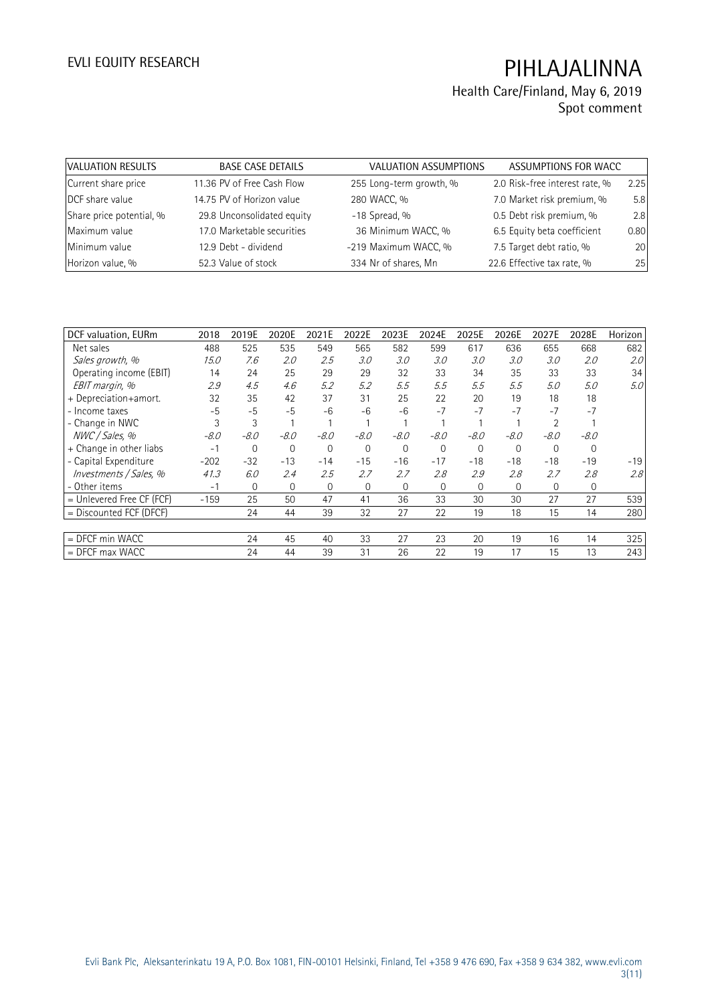| VALUATION RESULTS        | <b>BASE CASE DETAILS</b>   | <b>VALUATION ASSUMPTIONS</b> | ASSUMPTIONS FOR WACC           |      |
|--------------------------|----------------------------|------------------------------|--------------------------------|------|
| Current share price      | 11.36 PV of Free Cash Flow | 255 Long-term growth, %      | 2.0 Risk-free interest rate, % | 2.25 |
| DCF share value          | 14.75 PV of Horizon value  | 280 WACC, %                  | 7.0 Market risk premium, %     | 5.8  |
| Share price potential, % | 29.8 Unconsolidated equity | $-18$ Spread, %              | 0.5 Debt risk premium, %       | 2.8  |
| Maximum value            | 17.0 Marketable securities | 36 Minimum WACC, %           | 6.5 Equity beta coefficient    | 0.80 |
| Minimum value            | 12.9 Debt - dividend       | -219 Maximum WACC, %         | 7.5 Target debt ratio, %       | 20   |
| Horizon value, %         | 52.3 Value of stock        | 334 Nr of shares, Mn         | 22.6 Effective tax rate, %     | 25   |

| DCF valuation, EURm         | 2018   | 2019E        | 2020E    | 2021E    | 2022E    | 2023E    | 2024E        | 2025E    | 2026E    | 2027E    | 2028E    | Horizon |
|-----------------------------|--------|--------------|----------|----------|----------|----------|--------------|----------|----------|----------|----------|---------|
| Net sales                   | 488    | 525          | 535      | 549      | 565      | 582      | 599          | 617      | 636      | 655      | 668      | 682     |
| Sales growth, %             | 15.0   | 7.6          | 2.0      | 2.5      | 3.0      | 3.0      | 3.0          | 3.0      | 3.0      | 3.0      | 2.0      | 2.0     |
| Operating income (EBIT)     | 14     | 24           | 25       | 29       | 29       | 32       | 33           | 34       | 35       | 33       | 33       | 34      |
| EBIT margin, %              | 2.9    | 4.5          | 4.6      | 5.2      | 5.2      | 5.5      | 5.5          | 5.5      | 5.5      | 5.0      | 5.0      | 5.0     |
| + Depreciation+amort.       | 32     | 35           | 42       | 37       | 31       | 25       | 22           | 20       | 19       | 18       | 18       |         |
| - Income taxes              | $-5$   | $-5$         | $-5$     | $-6$     | $-6$     | -6       | $-7$         | $-7$     | $-7$     | $-7$     | $-7$     |         |
| - Change in NWC             | 3      | 3            |          |          |          |          |              |          |          |          |          |         |
| NWC / Sales, %              | $-8.0$ | $-8.0$       | -8.0     | $-8.0$   | $-8.0$   | $-8.0$   | $-8.0$       | $-8.0$   | $-8.0$   | $-8.0$   | $-8.0$   |         |
| + Change in other liabs     | $-1$   | 0            | $\Omega$ | $\Omega$ | $\Omega$ | $\Omega$ | $\Omega$     | $\Omega$ | $\Omega$ | $\Omega$ | $\Omega$ |         |
| - Capital Expenditure       | $-202$ | $-32$        | $-13$    | $-14$    | $-15$    | $-16$    | $-17$        | $-18$    | $-18$    | $-18$    | $-19$    | $-19$   |
| Investments / Sales, %      | 41.3   | 6.0          | 2.4      | 2.5      | 2.7      | 2.7      | 2.8          | 2.9      | 2.8      | 2.7      | 2.8      | 2.8     |
| - Other items               | $-1$   | $\mathbf{0}$ | $\Omega$ | 0        | $\Omega$ | $\Omega$ | $\mathbf{0}$ | $\Omega$ | $\Omega$ | $\Omega$ | 0        |         |
| $=$ Unlevered Free CF (FCF) | $-159$ | 25           | 50       | 47       | 41       | 36       | 33           | 30       | 30       | 27       | 27       | 539     |
| $=$ Discounted FCF (DFCF)   |        | 24           | 44       | 39       | 32       | 27       | 22           | 19       | 18       | 15       | 14       | 280     |
|                             |        |              |          |          |          |          |              |          |          |          |          |         |
| $=$ DFCF min WACC           |        | 24           | 45       | 40       | 33       | 27       | 23           | 20       | 19       | 16       | 14       | 325     |
| $=$ DFCF max WACC           |        | 24           | 44       | 39       | 31       | 26       | 22           | 19       | 17       | 15       | 13       | 243     |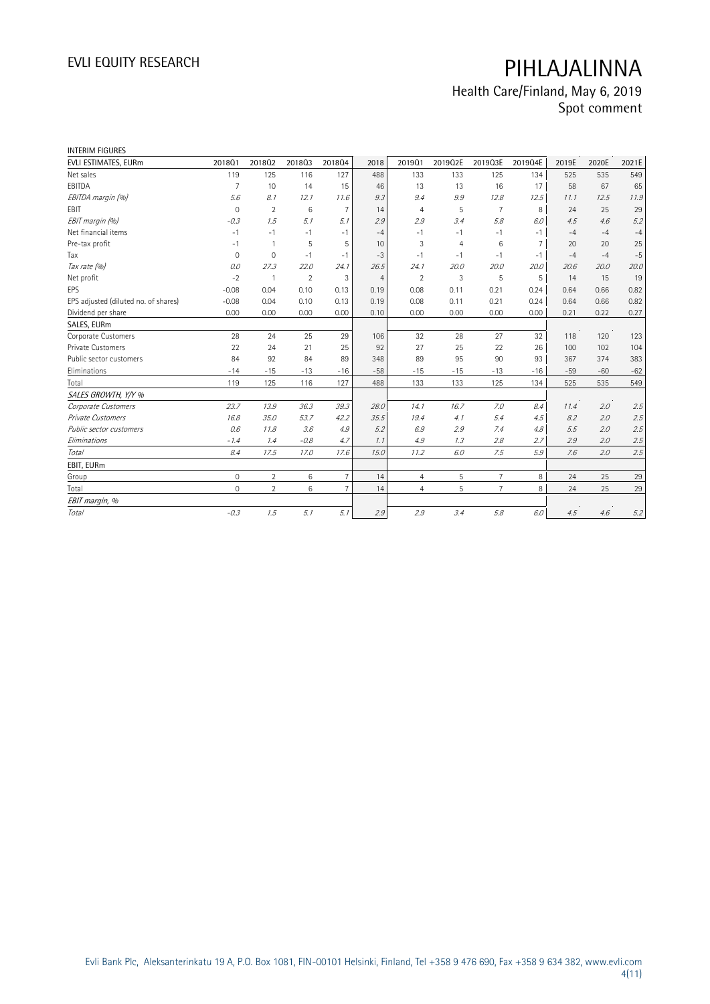| <b>INTERIM FIGURES</b>               |                     |                |                |                |                |                |                |                |                |       |       |       |
|--------------------------------------|---------------------|----------------|----------------|----------------|----------------|----------------|----------------|----------------|----------------|-------|-------|-------|
| EVLI ESTIMATES, EURm                 | 201801              | 201802         | 201803         | 201804         | 2018           | 201901         | 2019Q2E        | 2019Q3E        | 2019Q4E        | 2019E | 2020E | 2021E |
| Net sales                            | 119                 | 125            | 116            | 127            | 488            | 133            | 133            | 125            | 134            | 525   | 535   | 549   |
| EBITDA                               | $\overline{7}$      | 10             | 14             | 15             | 46             | 13             | 13             | 16             | 17             | 58    | 67    | 65    |
| EBITDA margin (%)                    | 5.6                 | 8.1            | 12.1           | 11.6           | 9.3            | 9.4            | 9.9            | 12.8           | 12.5           | 11.1  | 12.5  | 11.9  |
| <b>EBIT</b>                          | $\mathbf{0}$        | $\overline{2}$ | 6              | $\overline{7}$ | 14             | $\overline{4}$ | 5              | $\overline{7}$ | 8              | 24    | 25    | 29    |
| EBIT margin (%)                      | $-0.3$              | 1.5            | 5.1            | 5.1            | 2.9            | 2.9            | 3.4            | 5.8            | 6.0            | 4.5   | 4.6   | 5.2   |
| Net financial items                  | $-1$                | $-1$           | $-1$           | $-1$           | $-4$           | $-1$           | $-1$           | $-1$           | $-1$           | $-4$  | $-4$  | $-4$  |
| Pre-tax profit                       | $-1$                | $\mathbf{1}$   | 5              | 5              | 10             | 3              | $\overline{4}$ | 6              | $\overline{7}$ | 20    | 20    | 25    |
| Tax                                  | $\mathsf{O}\xspace$ | $\mathbf 0$    | $-1$           | $-1$           | $-3$           | - 1            | $-1$           | $-1$           | $-1$           | $-4$  | $-4$  | $-5$  |
| Tax rate (%)                         | 0.0                 | 27.3           | 22.0           | 24.1           | 26.5           | 24.1           | 20.0           | 20.0           | 20.0           | 20.6  | 20.0  | 20.0  |
| Net profit                           | $-2$                | $\mathbf{1}$   | $\overline{2}$ | 3              | $\overline{4}$ | $\overline{2}$ | 3              | 5              | 5              | 14    | 15    | 19    |
| <b>EPS</b>                           | $-0.08$             | 0.04           | 0.10           | 0.13           | 0.19           | 0.08           | 0.11           | 0.21           | 0.24           | 0.64  | 0.66  | 0.82  |
| EPS adjusted (diluted no. of shares) | $-0.08$             | 0.04           | 0.10           | 0.13           | 0.19           | 0.08           | 0.11           | 0.21           | 0.24           | 0.64  | 0.66  | 0.82  |
| Dividend per share                   | 0.00                | 0.00           | 0.00           | 0.00           | 0.10           | 0.00           | 0.00           | 0.00           | 0.00           | 0.21  | 0.22  | 0.27  |
| SALES, EURm                          |                     |                |                |                |                |                |                |                |                |       |       |       |
| Corporate Customers                  | 28                  | 24             | 25             | 29             | 106            | 32             | 28             | 27             | 32             | 118   | 120   | 123   |
| Private Customers                    | 22                  | 24             | 21             | 25             | 92             | 27             | 25             | 22             | 26             | 100   | 102   | 104   |
| Public sector customers              | 84                  | 92             | 84             | 89             | 348            | 89             | 95             | 90             | 93             | 367   | 374   | 383   |
| Eliminations                         | $-14$               | $-15$          | $-13$          | $-16$          | $-58$          | $-15$          | $-15$          | $-13$          | $-16$          | $-59$ | $-60$ | $-62$ |
| Total                                | 119                 | 125            | 116            | 127            | 488            | 133            | 133            | 125            | 134            | 525   | 535   | 549   |
| SALES GROWTH, Y/Y %                  |                     |                |                |                |                |                |                |                |                |       |       |       |
| Corporate Customers                  | 23.7                | 13.9           | 36.3           | 39.3           | 28.0           | 14.1           | 16.7           | 7.0            | 8.4            | 11.4  | 2.0   | 2.5   |
| Private Customers                    | 16.8                | 35.0           | 53.7           | 42.2           | 35.5           | 19.4           | 4.1            | 5.4            | 4.5            | 8.2   | 2.0   | 2.5   |
| Public sector customers              | 0.6                 | 11.8           | 3.6            | 4.9            | 5.2            | 6.9            | 2.9            | 7.4            | 4.8            | 5.5   | 2.0   | 2.5   |
| Eliminations                         | $-1.4$              | 1.4            | $-0.8$         | 4.7            | 1.1            | 4.9            | 1.3            | 2.8            | 2.7            | 2.9   | 2.0   | 2.5   |
| <b>Total</b>                         | 8.4                 | 17.5           | 17.0           | 17.6           | 15.0           | 11.2           | 6.0            | 7.5            | 5.9            | 7.6   | 2.0   | 2.5   |
| EBIT, EURm                           |                     |                |                |                |                |                |                |                |                |       |       |       |
| Group                                | $\mathbf 0$         | $\overline{2}$ | 6              | $\overline{7}$ | 14             | $\overline{4}$ | 5              | $\overline{7}$ | 8              | 24    | 25    | 29    |
| Total                                | $\overline{0}$      | $\overline{2}$ | 6              | $\overline{7}$ | 14             | $\overline{4}$ | 5              | $\overline{7}$ | 8              | 24    | 25    | 29    |
| EBIT margin, %                       |                     |                |                |                |                |                |                |                |                |       |       |       |
| Total                                | $-0.3$              | 1.5            | 5.1            | 5.1            | 2.9            | 2.9            | 3.4            | 5.8            | 6.0            | 4.5   | 4.6   | 5.2   |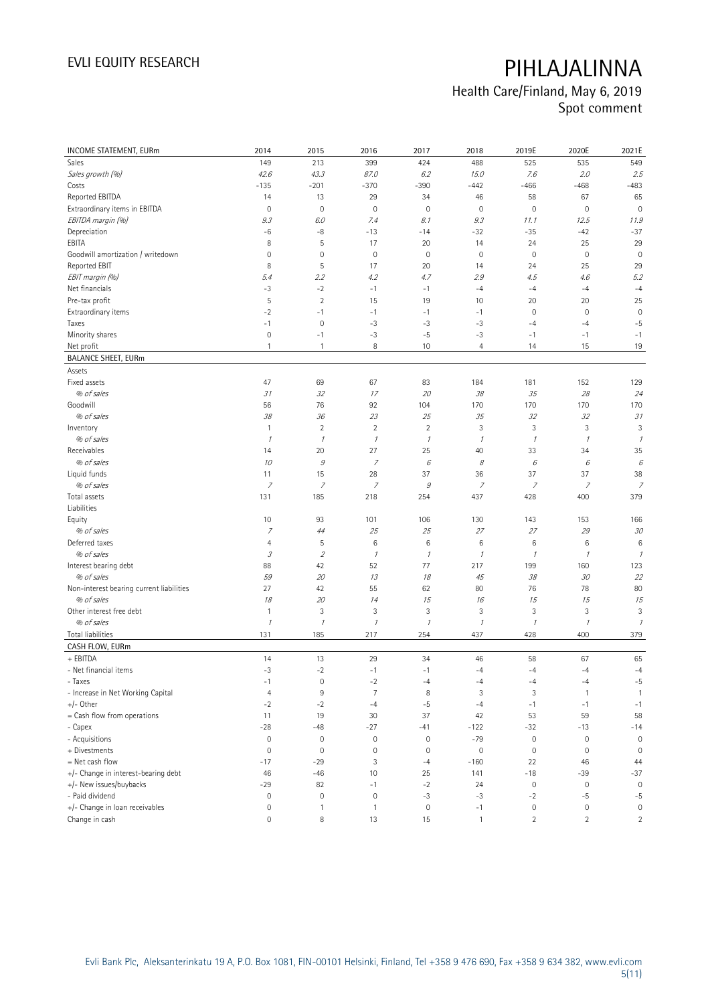| INCOME STATEMENT, EURm                   | 2014                | 2015                        | 2016                | 2017           | 2018           | 2019E         | 2020E               | 2021E               |
|------------------------------------------|---------------------|-----------------------------|---------------------|----------------|----------------|---------------|---------------------|---------------------|
| Sales                                    | 149                 | 213                         | 399                 | 424            | 488            | 525           | 535                 | 549                 |
| Sales growth (%)                         | 42.6                | 43.3                        | 87.0                | 6.2            | 15.0           | 7.6           | 2.0                 | 2.5                 |
| Costs                                    | $-135$              | $-201$                      | $-370$              | $-390$         | $-442$         | $-466$        | $-468$              | $-483$              |
| Reported EBITDA                          | 14                  | 13                          | 29                  | 34             | 46             | 58            | 67                  | 65                  |
| Extraordinary items in EBITDA            | $\mathbf 0$         | $\mathbf 0$                 | $\mathbf 0$         | 0              | $\mathbf 0$    | $\mathbf 0$   | $\mathbf 0$         | $\mathbf 0$         |
| EBITDA margin (%)                        | 9.3                 | 6.0                         | 7.4                 | 8.1            | 9.3            | 11.1          | 12.5                | 11.9                |
| Depreciation                             | -6                  | -8                          | $-13$               | $-14$          | $-32$          | $-35$         | $-42$               | $-37$               |
| EBITA                                    | 8                   | $\sqrt{5}$                  | 17                  | 20             | 14             | 24            | 25                  | 29                  |
| Goodwill amortization / writedown        | $\mathbf 0$         | $\mathbf 0$                 | $\mathbf 0$         | $\mathbf 0$    | $\mathbf 0$    | $\mathbf 0$   | $\mathbf 0$         | $\mathbf 0$         |
| Reported EBIT                            | 8                   | 5                           | 17                  | 20             | 14             | 24            | 25                  | 29                  |
| EBIT margin (%)                          | 5.4                 | 2.2                         | 4.2                 | 4.7            | 2.9            | 4.5           | 4.6                 | 5.2                 |
| Net financials                           | $-3$                | $-2$                        | $-1$                | $-1$           | $-4$           | $-4$          | $-4$                | $-4$                |
| Pre-tax profit                           | 5                   | $\sqrt{2}$                  | 15                  | 19             | 10             | 20            | 20                  | 25                  |
| Extraordinary items                      | $-2$                | $-1$                        | $-1$                | $-1$           | $-1$           | $\mathbf 0$   | $\mathbf 0$         | $\mathbf 0$         |
| Taxes                                    | $-1$                | $\mathbf 0$                 | $-3$                | $-3$           | $-3$           | $-4$          | $-4$                | $-5$                |
| Minority shares                          | $\mathsf{O}\xspace$ | $-1$                        | $-3$                | $-5$           | $-3$           | $-1$          | $-1$                | $-1$                |
| Net profit                               | $\mathbf{1}$        | $\mathbf{1}$                | 8                   | 10             | $\overline{4}$ | 14            | 15                  | 19                  |
| <b>BALANCE SHEET, EURm</b>               |                     |                             |                     |                |                |               |                     |                     |
| Assets                                   |                     |                             |                     |                |                |               |                     |                     |
| Fixed assets                             | 47                  | 69                          | 67                  | 83             | 184            | 181           | 152                 | 129                 |
| % of sales                               | 31                  | 32                          | 17                  | 20             | 38             | 35            | 28                  | 24                  |
| Goodwill                                 | 56                  | 76                          | 92                  | 104            | 170            | 170           | 170                 | 170                 |
| % of sales                               | 38                  | 36                          | 23                  | 25             | 35             | 32            | 32                  | 31                  |
| Inventory                                | $\mathbf{1}$        | $\overline{2}$              | $\overline{2}$      | $\overline{2}$ | 3              | 3             | 3                   | 3                   |
| % of sales                               | $\mathcal{I}$       | $\mathcal I$                | $\mathcal{I}$       | $\mathcal{I}$  | $\mathcal{I}$  | $\mathcal{I}$ | $\mathcal I$        | 1                   |
| Receivables                              | 14                  | 20                          | 27                  | 25             | 40             | 33            | 34                  | 35                  |
| % of sales                               | 10                  | $\mathcal G$                | $\boldsymbol{7}$    | 6              | 8              | 6             | 6                   | $\epsilon$          |
| Liquid funds                             | 11                  | 15                          | 28                  | 37             | 36             | 37            | 37                  | 38                  |
| % of sales                               | $\overline{7}$      | $\overline{z}$              | $\overline{z}$      | $\mathcal G$   | $\overline{7}$ | 7             | 7                   | $\overline{z}$      |
| Total assets                             | 131                 | 185                         | 218                 | 254            | 437            | 428           | 400                 | 379                 |
| Liabilities                              |                     |                             |                     |                |                |               |                     |                     |
| Equity                                   | 10                  | 93                          | 101                 | 106            | 130            | 143           | 153                 | 166                 |
| % of sales                               | $\overline{z}$      | 44                          | 25                  | 25             | 27             | 27            | 29                  | 30                  |
| Deferred taxes                           | 4                   | $\mathsf S$                 | $\,6$               | 6              | 6              | 6             | 6                   | 6                   |
| % of sales                               | $\mathcal{I}$       | $\mathcal{L}_{\mathcal{L}}$ | $\mathcal{I}$       | $\mathcal{I}$  | $\mathcal I$   | $\mathcal{I}$ | $\mathcal{I}$       | $\mathcal{I}$       |
| Interest bearing debt                    | 88                  | 42                          | 52                  | 77             | 217            | 199           | 160                 | 123                 |
| % of sales                               | 59                  | 20                          | 13                  | 18             | 45             | 38            | 30                  | 22                  |
| Non-interest bearing current liabilities | 27                  | 42                          | 55                  | 62             | 80             | 76            | 78                  | 80                  |
| % of sales                               | 18                  | 20                          | 14                  | 15             | 16             | 15            | 15                  | 15                  |
| Other interest free debt                 | $\mathbf{1}$        | $\ensuremath{\mathsf{3}}$   | 3                   | 3              | $\sqrt{3}$     | $\sqrt{3}$    | 3                   | 3                   |
| % of sales                               | $\cal I$            | $\mathcal I$                | $\mathcal{I}$       | $\cal I$       | $\mathcal I$   | $\mathcal{I}$ | $\mathcal{I}$       | $\mathcal I$        |
| <b>Total liabilities</b>                 | 131                 | 185                         | 217                 | 254            | 437            | 428           | 400                 | 379                 |
| CASH FLOW, EURm                          |                     |                             |                     |                |                |               |                     |                     |
| + EBITDA                                 | 14                  | 13                          | 29                  | 34             | 46             | 58            | 67                  | 65                  |
| - Net financial items                    | $-3$                | $-2$                        | $-1$                | $-1$           | $-4$           | $-4$          | $-4$                | $-4$                |
| - Taxes                                  | $-1$                | 0                           | $-2$                | $-4$           | $-4$           | $-4$          | -4                  | $-5$                |
| - Increase in Net Working Capital        | $\overline{4}$      | $\,9$                       | $\overline{7}$      | 8              | 3              | 3             | 1                   | $\mathbf{1}$        |
| $+/-$ Other                              | $-2$                | $-2$                        | $-4$                | $-5$           | $-4$           | $-1$          | $-1$                | $-1$                |
| = Cash flow from operations              | 11                  | 19                          | 30                  | 37             | 42             | 53            | 59                  | 58                  |
| - Capex                                  | $-28$               | $-48$                       | $-27$               | $-41$          | $-122$         | $-32$         | $-13$               | $-14$               |
| - Acquisitions                           | $\mathsf{O}\xspace$ | $\mathbf 0$                 | $\mathsf{O}\xspace$ | $\mathbf 0$    | $-79$          | $\mathbb O$   | $\mathsf{O}\xspace$ | $\mathbf 0$         |
| + Divestments                            | $\mathsf{O}\xspace$ | $\mathbf 0$                 | $\mathbf 0$         | $\mathbf 0$    | $\mathbb O$    | $\mathbb O$   | $\mathbb O$         | $\mathbf 0$         |
| $=$ Net cash flow                        | $-17$               | $-29$                       | 3                   | $-4$           | $-160$         | 22            | 46                  | 44                  |
| +/- Change in interest-bearing debt      | 46                  | $-46$                       | 10                  | 25             | 141            | $-18$         | $-39$               | $-37$               |
| +/- New issues/buybacks                  | $-29$               | 82                          | $-1$                | $^{\rm -2}$    | 24             | $\mathbb O$   | $\mathbb O$         | $\mathsf{O}\xspace$ |
| - Paid dividend                          | $\mathsf{O}\xspace$ | $\mathbf 0$                 | $\mathbf 0$         | $-3$           | $-3$           | $-2$          | $-5$                | $-5$                |
| +/- Change in loan receivables           | $\mathsf{O}\xspace$ | $\mathbf{1}$                | $\mathbf{1}$        | $\mathbb O$    | $-1$           | $\mathbb O$   | $\mathsf{O}\xspace$ | $\mathbb O$         |
| Change in cash                           | $\mathsf{O}\xspace$ | 8                           | 13                  | 15             | $\mathbf{1}$   | $\sqrt{2}$    | $\overline{2}$      | $\overline{2}$      |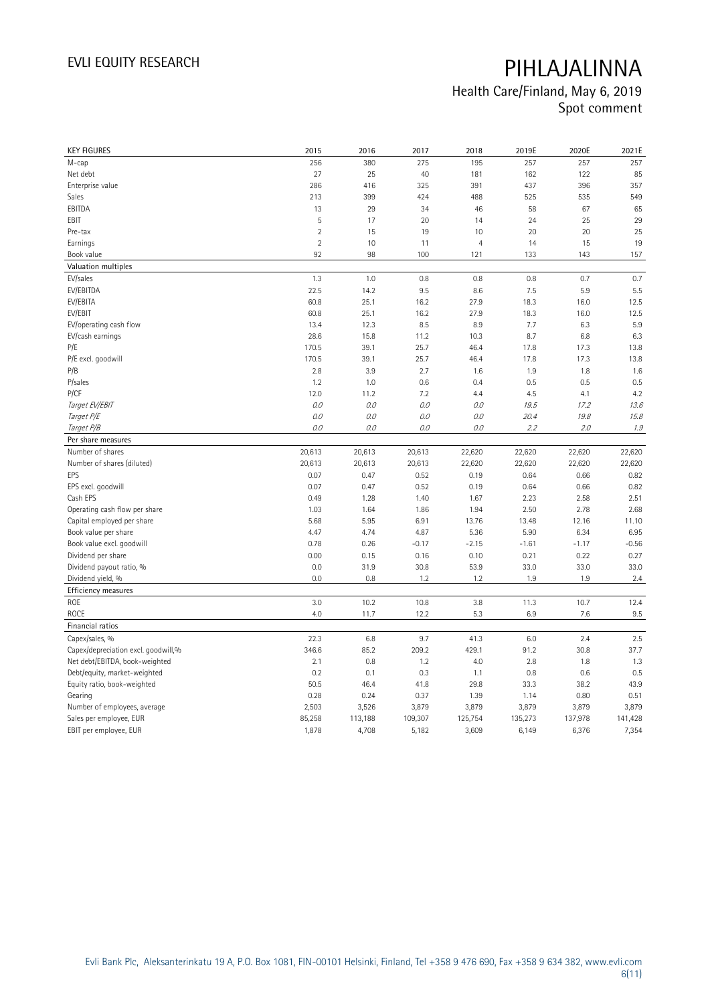| <b>KEY FIGURES</b>                  | 2015           | 2016    | 2017    | 2018           | 2019E   | 2020E   | 2021E   |
|-------------------------------------|----------------|---------|---------|----------------|---------|---------|---------|
| M-cap                               | 256            | 380     | 275     | 195            | 257     | 257     | 257     |
| Net debt                            | 27             | 25      | 40      | 181            | 162     | 122     | 85      |
| Enterprise value                    | 286            | 416     | 325     | 391            | 437     | 396     | 357     |
| Sales                               | 213            | 399     | 424     | 488            | 525     | 535     | 549     |
| EBITDA                              | 13             | 29      | 34      | 46             | 58      | 67      | 65      |
| EBIT                                | 5              | 17      | 20      | 14             | 24      | 25      | 29      |
| Pre-tax                             | $\overline{2}$ | 15      | 19      | 10             | 20      | 20      | 25      |
| Earnings                            | $\overline{2}$ | 10      | 11      | $\overline{4}$ | 14      | 15      | 19      |
| Book value                          | 92             | 98      | 100     | 121            | 133     | 143     | 157     |
| Valuation multiples                 |                |         |         |                |         |         |         |
| EV/sales                            | 1.3            | 1.0     | 0.8     | 0.8            | 0.8     | 0.7     | 0.7     |
| EV/EBITDA                           | 22.5           | 14.2    | 9.5     | 8.6            | 7.5     | 5.9     | 5.5     |
| EV/EBITA                            | 60.8           | 25.1    | 16.2    | 27.9           | 18.3    | 16.0    | 12.5    |
| EV/EBIT                             | 60.8           | 25.1    | 16.2    | 27.9           | 18.3    | 16.0    | 12.5    |
| EV/operating cash flow              | 13.4           | 12.3    | 8.5     | 8.9            | 7.7     | 6.3     | 5.9     |
| EV/cash earnings                    | 28.6           | 15.8    | 11.2    | 10.3           | 8.7     | 6.8     | 6.3     |
| P/E                                 | 170.5          | 39.1    | 25.7    | 46.4           | 17.8    | 17.3    | 13.8    |
| P/E excl. goodwill                  | 170.5          | 39.1    | 25.7    | 46.4           | 17.8    | 17.3    | 13.8    |
| P/B                                 | 2.8            | 3.9     | 2.7     | 1.6            | 1.9     | 1.8     | 1.6     |
| P/sales                             | 1.2            | 1.0     | 0.6     | 0.4            | 0.5     | 0.5     | 0.5     |
| <b>P/CF</b>                         | 12.0           | 11.2    | 7.2     | 4.4            | 4.5     | 4.1     | 4.2     |
| Target EV/EBIT                      | 0.0            | 0.0     | 0.0     | 0.0            | 19.5    | 17.2    | 13.6    |
| Target P/E                          | 0.0            | 0.0     | 0.0     | 0.0            | 20.4    | 19.8    | 15.8    |
| Target P/B                          | 0.0            | 0.0     | 0.0     | 0.0            | 2.2     | 2.0     | 1.9     |
| Per share measures                  |                |         |         |                |         |         |         |
| Number of shares                    | 20,613         | 20,613  | 20,613  | 22,620         | 22,620  | 22,620  | 22,620  |
| Number of shares (diluted)          | 20,613         | 20,613  | 20,613  | 22,620         | 22,620  | 22,620  | 22,620  |
| EPS                                 | 0.07           | 0.47    | 0.52    | 0.19           | 0.64    | 0.66    | 0.82    |
| EPS excl. goodwill                  | 0.07           | 0.47    | 0.52    | 0.19           | 0.64    | 0.66    | 0.82    |
| Cash EPS                            | 0.49           | 1.28    | 1.40    | 1.67           | 2.23    | 2.58    | 2.51    |
| Operating cash flow per share       | 1.03           | 1.64    | 1.86    | 1.94           | 2.50    | 2.78    | 2.68    |
| Capital employed per share          | 5.68           | 5.95    | 6.91    | 13.76          | 13.48   | 12.16   | 11.10   |
| Book value per share                | 4.47           | 4.74    | 4.87    | 5.36           | 5.90    | 6.34    | 6.95    |
| Book value excl. goodwill           | 0.78           | 0.26    | $-0.17$ | $-2.15$        | $-1.61$ | $-1.17$ | $-0.56$ |
| Dividend per share                  | 0.00           | 0.15    | 0.16    | 0.10           | 0.21    | 0.22    | 0.27    |
| Dividend payout ratio, %            | 0.0            | 31.9    | 30.8    | 53.9           | 33.0    | 33.0    | 33.0    |
| Dividend yield, %                   | 0.0            | 0.8     | 1.2     | 1.2            | 1.9     | 1.9     | 2.4     |
| Efficiency measures                 |                |         |         |                |         |         |         |
| ROE                                 | 3.0            | 10.2    | 10.8    | 3.8            | 11.3    | 10.7    | 12.4    |
| ROCE                                | 4.0            | 11.7    | 12.2    | 5.3            | 6.9     | 7.6     | 9.5     |
| Financial ratios                    |                |         |         |                |         |         |         |
| Capex/sales, %                      | 22.3           | 6.8     | 9.7     | 41.3           | 6.0     | 2.4     | 2.5     |
| Capex/depreciation excl. goodwill,% | 346.6          | 85.2    | 209.2   | 429.1          | 91.2    | 30.8    | 37.7    |
| Net debt/EBITDA, book-weighted      | 2.1            | 0.8     | 1.2     | 4.0            | 2.8     | 1.8     | 1.3     |
| Debt/equity, market-weighted        | 0.2            | 0.1     | 0.3     | 1.1            | 0.8     | 0.6     | 0.5     |
| Equity ratio, book-weighted         | 50.5           | 46.4    | 41.8    | 29.8           | 33.3    | 38.2    | 43.9    |
| Gearing                             | 0.28           | 0.24    | 0.37    | 1.39           | 1.14    | 0.80    | 0.51    |
| Number of employees, average        | 2,503          | 3,526   | 3,879   | 3,879          | 3,879   | 3,879   | 3,879   |
| Sales per employee, EUR             | 85,258         | 113,188 | 109,307 | 125,754        | 135,273 | 137,978 | 141,428 |
| EBIT per employee, EUR              | 1,878          | 4,708   | 5,182   | 3,609          | 6,149   | 6,376   | 7,354   |
|                                     |                |         |         |                |         |         |         |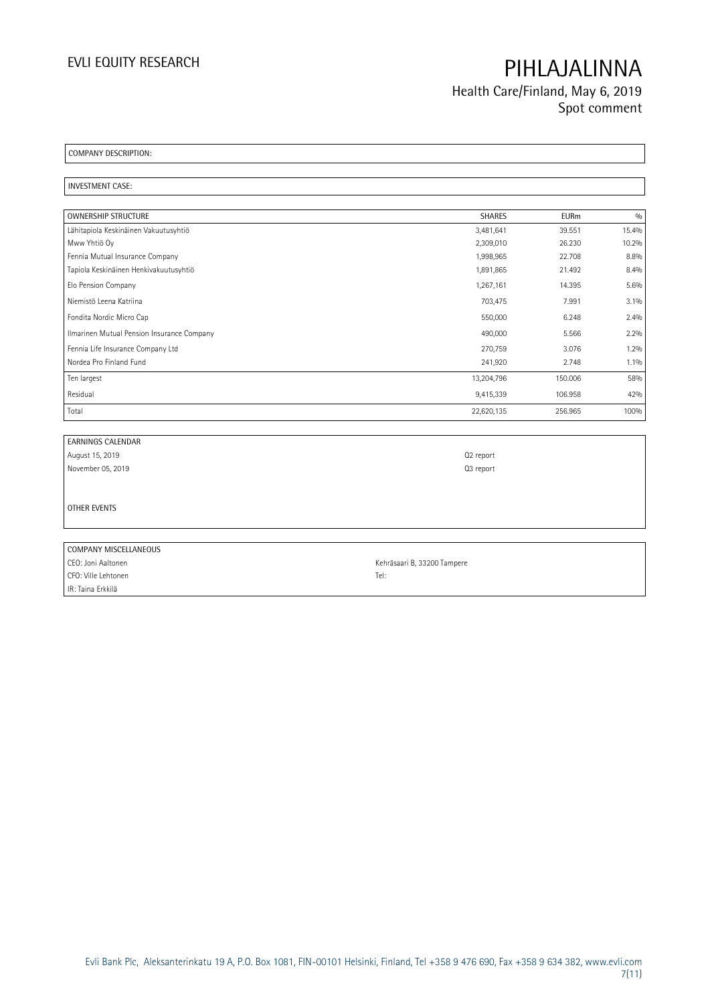Health Care/Finland, May 6, 2019 Spot comment

COMPANY DESCRIPTION:

INVESTMENT CASE:

| <b>OWNERSHIP STRUCTURE</b>                 | <b>SHARES</b> | <b>EURm</b> | $\frac{0}{0}$ |
|--------------------------------------------|---------------|-------------|---------------|
| Lähitapiola Keskinäinen Vakuutusyhtiö      | 3,481,641     | 39.551      | 15.4%         |
| Mww Yhtiö Oy                               | 2,309,010     | 26.230      | 10.2%         |
| Fennia Mutual Insurance Company            | 1,998,965     | 22,708      | 8.8%          |
| Tapiola Keskinäinen Henkivakuutusyhtiö     | 1,891,865     | 21.492      | 8.4%          |
| Elo Pension Company                        | 1,267,161     | 14.395      | 5.6%          |
| Niemistö Leena Katriina                    | 703,475       | 7.991       | 3.1%          |
| Fondita Nordic Micro Cap                   | 550,000       | 6.248       | 2.4%          |
| Ilmarinen Mutual Pension Insurance Company | 490,000       | 5.566       | 2.2%          |
| Fennia Life Insurance Company Ltd          | 270,759       | 3.076       | 1.2%          |
| Nordea Pro Finland Fund                    | 241,920       | 2.748       | $1.1\%$       |
| Ten largest                                | 13,204,796    | 150.006     | 58%           |
| Residual                                   | 9,415,339     | 106.958     | 42%           |
| Total                                      | 22,620,135    | 256.965     | 100%          |

| <b>EARNINGS CALENDAR</b> |                             |
|--------------------------|-----------------------------|
| August 15, 2019          | Q <sub>2</sub> report       |
| November 05, 2019        | Q3 report                   |
|                          |                             |
| OTHER EVENTS             |                             |
|                          |                             |
| COMPANY MISCELLANEOUS    |                             |
| CEO: Joni Aaltonen       | Kehräsaari B, 33200 Tampere |

CFO: Ville Lehtonen Tel: IR: Taina Erkkilä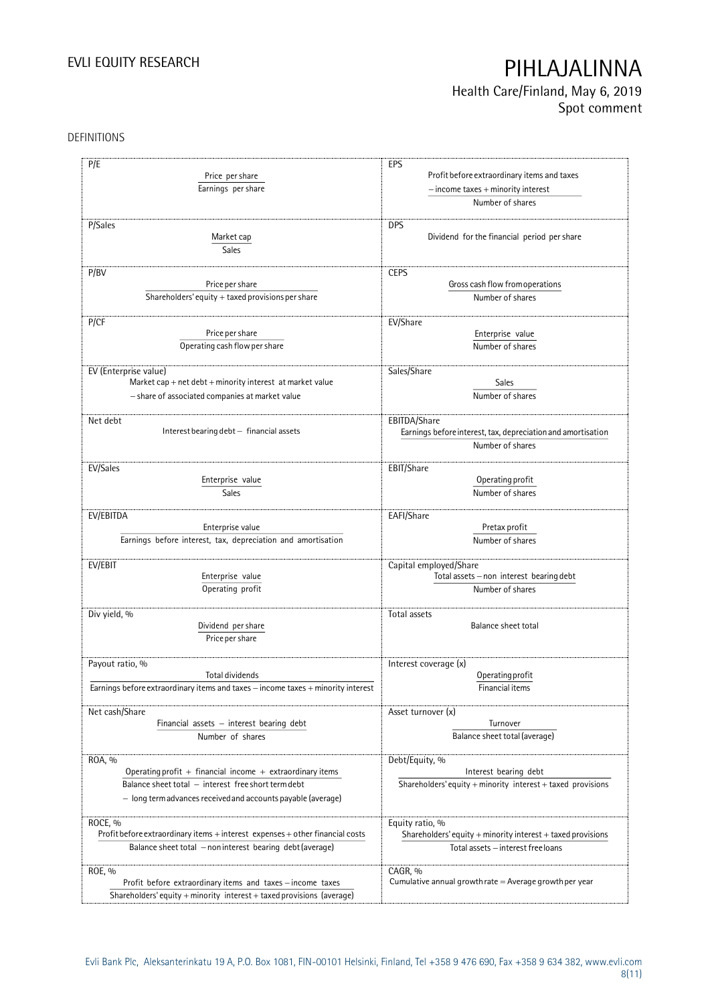Health Care/Finland, May 6, 2019 Spot comment

### DEFINITIONS

| P/E                                                                              | EPS                                                                |
|----------------------------------------------------------------------------------|--------------------------------------------------------------------|
| Price per share                                                                  | Profit before extraordinary items and taxes                        |
|                                                                                  |                                                                    |
| Earnings per share                                                               | $-$ income taxes $+$ minority interest                             |
|                                                                                  | Number of shares                                                   |
| P/Sales                                                                          | <b>DPS</b>                                                         |
| Market cap                                                                       | Dividend for the financial period per share                        |
| <b>Sales</b>                                                                     |                                                                    |
|                                                                                  |                                                                    |
| P/BV                                                                             | <b>CEPS</b>                                                        |
| Price per share                                                                  | Gross cash flow from operations                                    |
| Shareholders' equity $+$ taxed provisions per share                              | Number of shares                                                   |
|                                                                                  |                                                                    |
| P/CF                                                                             | EV/Share                                                           |
| Price per share                                                                  | Enterprise value                                                   |
| Operating cash flow per share                                                    | Number of shares                                                   |
|                                                                                  |                                                                    |
| EV (Enterprise value)                                                            | Sales/Share                                                        |
| Market cap + net $debt + minority$ interest at market value                      | Sales                                                              |
| - share of associated companies at market value                                  | Number of shares                                                   |
|                                                                                  |                                                                    |
| Net debt                                                                         | EBITDA/Share                                                       |
| Interest bearing debt - financial assets                                         | Earnings before interest, tax, depreciation and amortisation       |
|                                                                                  | Number of shares                                                   |
|                                                                                  |                                                                    |
| EV/Sales                                                                         | EBIT/Share                                                         |
| Enterprise value                                                                 | Operating profit                                                   |
| <b>Sales</b>                                                                     | Number of shares                                                   |
|                                                                                  |                                                                    |
| EV/EBITDA                                                                        | EAFI/Share                                                         |
| Enterprise value                                                                 | Pretax profit                                                      |
| Earnings before interest, tax, depreciation and amortisation                     | Number of shares                                                   |
| EV/EBIT                                                                          |                                                                    |
| Enterprise value                                                                 | Capital employed/Share<br>Total assets - non interest bearing debt |
| Operating profit                                                                 | Number of shares                                                   |
|                                                                                  |                                                                    |
| Div yield, %                                                                     | Total assets                                                       |
| Dividend per share                                                               | Balance sheet total                                                |
| Price per share                                                                  |                                                                    |
|                                                                                  |                                                                    |
| Payout ratio, %                                                                  | Interest coverage (x)                                              |
| Total dividends                                                                  | Operating profit                                                   |
| Earnings before extraordinary items and taxes - income taxes + minority interest | Financial items                                                    |
|                                                                                  |                                                                    |
| Net cash/Share                                                                   | Asset turnover (x)                                                 |
| Financial assets - interest bearing debt                                         | Turnover                                                           |
| Number of shares                                                                 | Balance sheet total (average)                                      |
|                                                                                  |                                                                    |
| ROA, %                                                                           | Debt/Equity, %                                                     |
| Operating profit + financial income + extraordinary items                        | Interest bearing debt                                              |
| Balance sheet total - interest free short term debt                              | Shareholders' equity + minority interest + taxed provisions        |
| - long term advances received and accounts payable (average)                     |                                                                    |
|                                                                                  |                                                                    |
| ROCE, %                                                                          | Equity ratio, %                                                    |
| Profit before extraordinary items + interest expenses + other financial costs    | Shareholders' equity $+$ minority interest $+$ taxed provisions    |
| Balance sheet total - non interest bearing debt (average)                        | Total assets - interest free loans                                 |
|                                                                                  |                                                                    |
| ROE, %                                                                           | CAGR, %                                                            |
| Profit before extraordinary items and taxes - income taxes                       | Cumulative annual growth rate $=$ Average growth per year          |
| Shareholders' equity + minority interest + taxed provisions (average)            |                                                                    |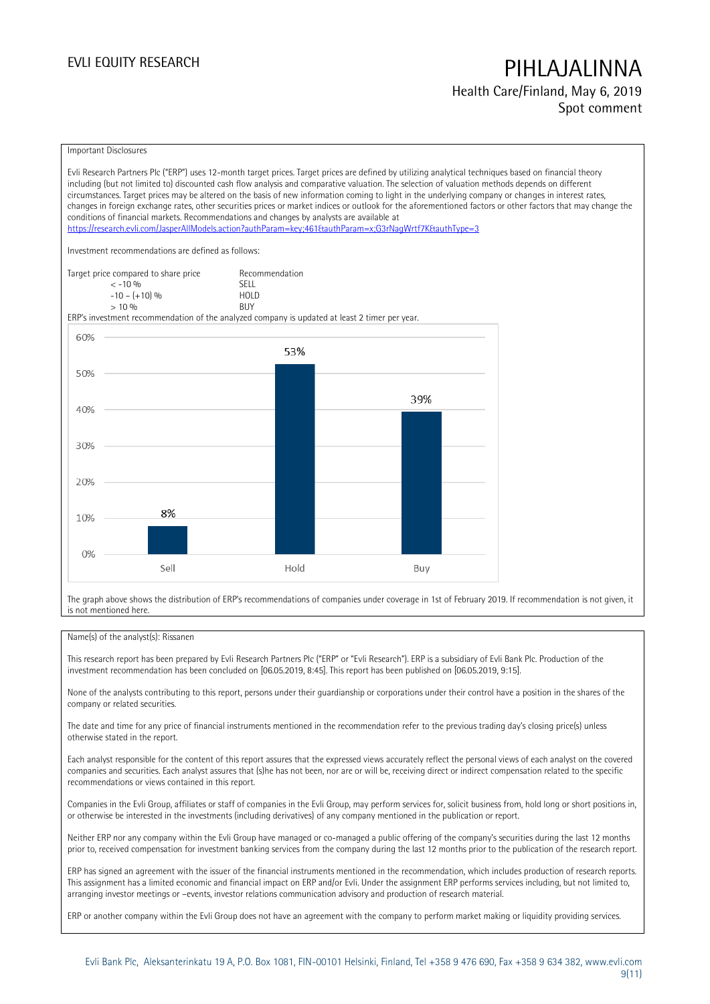### Health Care/Finland, May 6, 2019 Spot comment

#### Important Disclosures

Evli Research Partners Plc ("ERP") uses 12-month target prices. Target prices are defined by utilizing analytical techniques based on financial theory including (but not limited to) discounted cash flow analysis and comparative valuation. The selection of valuation methods depends on different circumstances. Target prices may be altered on the basis of new information coming to light in the underlying company or changes in interest rates, changes in foreign exchange rates, other securities prices or market indices or outlook for the aforementioned factors or other factors that may change the conditions of financial markets. Recommendations and changes by analysts are available at <https://research.evli.com/JasperAllModels.action?authParam=key;461&authParam=x;G3rNagWrtf7K&authType=3> Investment recommendations are defined as follows: Target price compared to share price Recommendation<br>  $\leq -10\%$  $\langle 5, 10, 10 \rangle$  SELL<br>  $\langle 10, 10, 10 \rangle$  SELL<br>  $\langle 10, 10, 10 \rangle$  $-10 - (+10) \%$  HOL<br>  $> 10 \%$  RIJY  $> 10\%$ ERP's investment recommendation of the analyzed company is updated at least 2 timer per year. 60% 53% 50% 39% 40% 30% 20% 8% 10%  $0%$ Sell Hold Buy

The graph above shows the distribution of ERP's recommendations of companies under coverage in 1st of February 2019. If recommendation is not given, it is not mentioned here.

### Name(s) of the analyst(s): Rissanen

This research report has been prepared by Evli Research Partners Plc ("ERP" or "Evli Research"). ERP is a subsidiary of Evli Bank Plc. Production of the investment recommendation has been concluded on [06.05.2019, 8:45]. This report has been published on [06.05.2019, 9:15].

None of the analysts contributing to this report, persons under their guardianship or corporations under their control have a position in the shares of the company or related securities.

The date and time for any price of financial instruments mentioned in the recommendation refer to the previous trading day's closing price(s) unless otherwise stated in the report.

Each analyst responsible for the content of this report assures that the expressed views accurately reflect the personal views of each analyst on the covered companies and securities. Each analyst assures that (s)he has not been, nor are or will be, receiving direct or indirect compensation related to the specific recommendations or views contained in this report.

Companies in the Evli Group, affiliates or staff of companies in the Evli Group, may perform services for, solicit business from, hold long or short positions in, or otherwise be interested in the investments (including derivatives) of any company mentioned in the publication or report.

Neither ERP nor any company within the Evli Group have managed or co-managed a public offering of the company's securities during the last 12 months prior to, received compensation for investment banking services from the company during the last 12 months prior to the publication of the research report.

ERP has signed an agreement with the issuer of the financial instruments mentioned in the recommendation, which includes production of research reports. This assignment has a limited economic and financial impact on ERP and/or Evli. Under the assignment ERP performs services including, but not limited to, arranging investor meetings or –events, investor relations communication advisory and production of research material.

ERP or another company within the Evli Group does not have an agreement with the company to perform market making or liquidity providing services.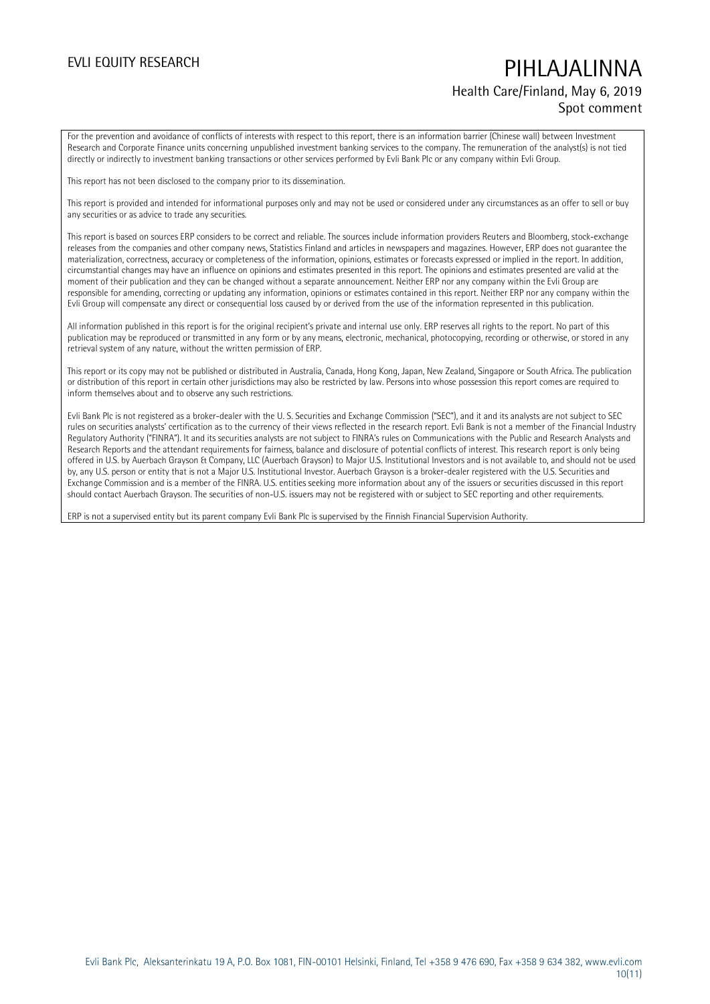## EVLI EQUITY RESEARCH **PIHLAJALINNA** Health Care/Finland, May 6, 2019 Spot comment

For the prevention and avoidance of conflicts of interests with respect to this report, there is an information barrier (Chinese wall) between Investment Research and Corporate Finance units concerning unpublished investment banking services to the company. The remuneration of the analyst(s) is not tied directly or indirectly to investment banking transactions or other services performed by Evli Bank Plc or any company within Evli Group.

This report has not been disclosed to the company prior to its dissemination.

This report is provided and intended for informational purposes only and may not be used or considered under any circumstances as an offer to sell or buy any securities or as advice to trade any securities.

This report is based on sources ERP considers to be correct and reliable. The sources include information providers Reuters and Bloomberg, stock-exchange releases from the companies and other company news, Statistics Finland and articles in newspapers and magazines. However, ERP does not guarantee the materialization, correctness, accuracy or completeness of the information, opinions, estimates or forecasts expressed or implied in the report. In addition, circumstantial changes may have an influence on opinions and estimates presented in this report. The opinions and estimates presented are valid at the moment of their publication and they can be changed without a separate announcement. Neither ERP nor any company within the Evli Group are responsible for amending, correcting or updating any information, opinions or estimates contained in this report. Neither ERP nor any company within the Evli Group will compensate any direct or consequential loss caused by or derived from the use of the information represented in this publication.

All information published in this report is for the original recipient's private and internal use only. ERP reserves all rights to the report. No part of this publication may be reproduced or transmitted in any form or by any means, electronic, mechanical, photocopying, recording or otherwise, or stored in any retrieval system of any nature, without the written permission of ERP.

This report or its copy may not be published or distributed in Australia, Canada, Hong Kong, Japan, New Zealand, Singapore or South Africa. The publication or distribution of this report in certain other jurisdictions may also be restricted by law. Persons into whose possession this report comes are required to inform themselves about and to observe any such restrictions.

Evli Bank Plc is not registered as a broker-dealer with the U. S. Securities and Exchange Commission ("SEC"), and it and its analysts are not subject to SEC rules on securities analysts' certification as to the currency of their views reflected in the research report. Evli Bank is not a member of the Financial Industry Regulatory Authority ("FINRA"). It and its securities analysts are not subject to FINRA's rules on Communications with the Public and Research Analysts and Research Reports and the attendant requirements for fairness, balance and disclosure of potential conflicts of interest. This research report is only being offered in U.S. by Auerbach Grayson & Company, LLC (Auerbach Grayson) to Major U.S. Institutional Investors and is not available to, and should not be used by, any U.S. person or entity that is not a Major U.S. Institutional Investor. Auerbach Grayson is a broker-dealer registered with the U.S. Securities and Exchange Commission and is a member of the FINRA. U.S. entities seeking more information about any of the issuers or securities discussed in this report should contact Auerbach Grayson. The securities of non-U.S. issuers may not be registered with or subject to SEC reporting and other requirements.

ERP is not a supervised entity but its parent company Evli Bank Plc is supervised by the Finnish Financial Supervision Authority.